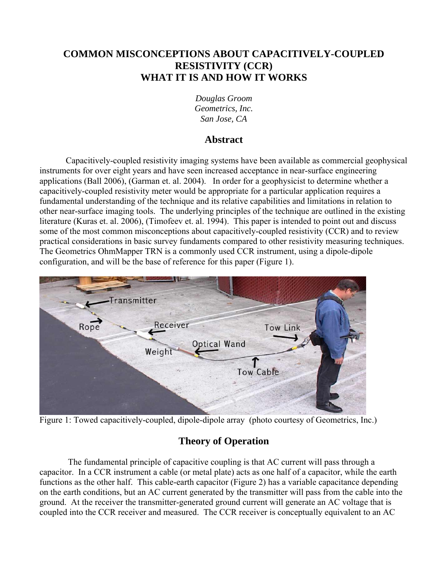# **COMMON MISCONCEPTIONS ABOUT CAPACITIVELY-COUPLED RESISTIVITY (CCR) WHAT IT IS AND HOW IT WORKS**

*Douglas Groom Geometrics, Inc. San Jose, CA* 

## **Abstract**

Capacitively-coupled resistivity imaging systems have been available as commercial geophysical instruments for over eight years and have seen increased acceptance in near-surface engineering applications (Ball 2006), (Garman et. al. 2004). In order for a geophysicist to determine whether a capacitively-coupled resistivity meter would be appropriate for a particular application requires a fundamental understanding of the technique and its relative capabilities and limitations in relation to other near-surface imaging tools. The underlying principles of the technique are outlined in the existing literature (Kuras et. al. 2006), (Timofeev et. al. 1994). This paper is intended to point out and discuss some of the most common misconceptions about capacitively-coupled resistivity (CCR) and to review practical considerations in basic survey fundaments compared to other resistivity measuring techniques. The Geometrics OhmMapper TRN is a commonly used CCR instrument, using a dipole-dipole configuration, and will be the base of reference for this paper (Figure 1).



Figure 1: Towed capacitively-coupled, dipole-dipole array (photo courtesy of Geometrics, Inc.)

# **Theory of Operation**

 The fundamental principle of capacitive coupling is that AC current will pass through a capacitor. In a CCR instrument a cable (or metal plate) acts as one half of a capacitor, while the earth functions as the other half. This cable-earth capacitor (Figure 2) has a variable capacitance depending on the earth conditions, but an AC current generated by the transmitter will pass from the cable into the ground. At the receiver the transmitter-generated ground current will generate an AC voltage that is coupled into the CCR receiver and measured. The CCR receiver is conceptually equivalent to an AC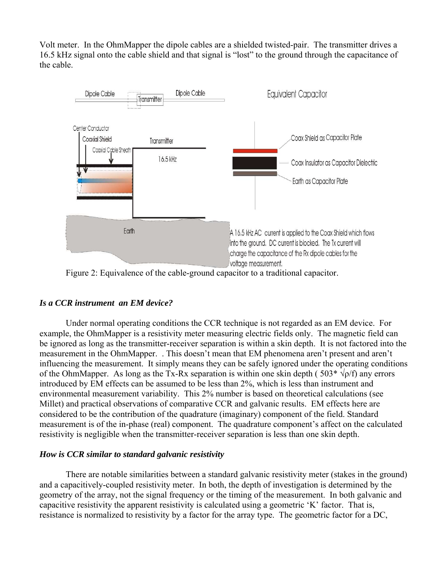Volt meter. In the OhmMapper the dipole cables are a shielded twisted-pair. The transmitter drives a 16.5 kHz signal onto the cable shield and that signal is "lost" to the ground through the capacitance of the cable.



Figure 2: Equivalence of the cable-ground capacitor to a traditional capacitor.

### *Is a CCR instrument an EM device?*

Under normal operating conditions the CCR technique is not regarded as an EM device. For example, the OhmMapper is a resistivity meter measuring electric fields only. The magnetic field can be ignored as long as the transmitter-receiver separation is within a skin depth. It is not factored into the measurement in the OhmMapper. . This doesn't mean that EM phenomena aren't present and aren't influencing the measurement. It simply means they can be safely ignored under the operating conditions of the OhmMapper. As long as the Tx-Rx separation is within one skin depth (  $503^* \sqrt{\rho/f}$ ) any errors introduced by EM effects can be assumed to be less than 2%, which is less than instrument and environmental measurement variability. This 2% number is based on theoretical calculations (see Millet) and practical observations of comparative CCR and galvanic results. EM effects here are considered to be the contribution of the quadrature (imaginary) component of the field. Standard measurement is of the in-phase (real) component. The quadrature component's affect on the calculated resistivity is negligible when the transmitter-receiver separation is less than one skin depth.

### *How is CCR similar to standard galvanic resistivity*

There are notable similarities between a standard galvanic resistivity meter (stakes in the ground) and a capacitively-coupled resistivity meter. In both, the depth of investigation is determined by the geometry of the array, not the signal frequency or the timing of the measurement. In both galvanic and capacitive resistivity the apparent resistivity is calculated using a geometric 'K' factor. That is, resistance is normalized to resistivity by a factor for the array type. The geometric factor for a DC,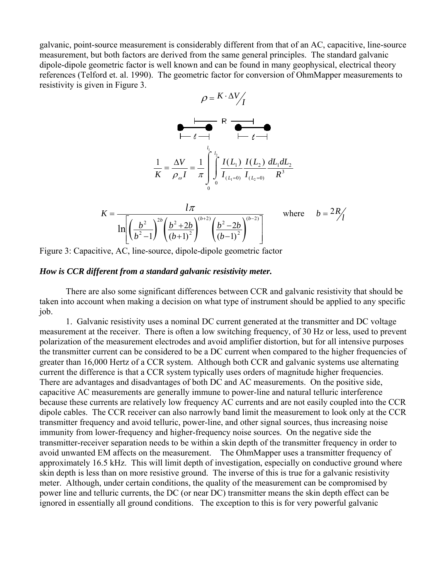galvanic, point-source measurement is considerably different from that of an AC, capacitive, line-source measurement, but both factors are derived from the same general principles. The standard galvanic dipole-dipole geometric factor is well known and can be found in many geophysical, electrical theory references (Telford et. al. 1990). The geometric factor for conversion of OhmMapper measurements to resistivity is given in Figure 3.

$$
\rho = K \cdot \Delta V / I
$$
\n
$$
\begin{array}{c}\n\hline\n\downarrow & R \\
\hline\n\downarrow & \downarrow \\
\hline\n\downarrow & \downarrow \\
\hline\n\downarrow & \downarrow \\
\hline\n\downarrow & \downarrow \\
\hline\n\downarrow & \downarrow \\
\hline\n\downarrow & \downarrow \\
\hline\n\downarrow & \downarrow \\
\hline\n\downarrow & \downarrow \\
\hline\n\downarrow & \downarrow \\
\hline\n\downarrow & \downarrow \\
\hline\n\downarrow & \downarrow \\
\hline\n\downarrow & \downarrow \\
\hline\n\downarrow & \downarrow \\
\hline\n\downarrow & \downarrow \\
\hline\n\downarrow & \downarrow \\
\hline\n\downarrow & \downarrow \\
\hline\n\downarrow & \downarrow \\
\hline\n\downarrow & \downarrow \\
\hline\n\downarrow & \downarrow \\
\hline\n\downarrow & \downarrow \\
\hline\n\downarrow & \downarrow \\
\hline\n\downarrow & \downarrow \\
\hline\n\downarrow & \downarrow \\
\hline\n\downarrow & \downarrow \\
\hline\n\downarrow & \downarrow \\
\hline\n\downarrow & \downarrow \\
\hline\n\downarrow & \downarrow \\
\hline\n\downarrow & \downarrow \\
\hline\n\downarrow & \downarrow \\
\hline\n\downarrow & \downarrow \\
\hline\n\downarrow & \downarrow \\
\hline\n\downarrow & \downarrow \\
\hline\n\downarrow & \downarrow \\
\hline\n\downarrow & \downarrow \\
\hline\n\downarrow & \downarrow \\
\hline\n\downarrow & \downarrow \\
\hline\n\downarrow & \downarrow \\
\hline\n\downarrow & \downarrow \\
\hline\n\downarrow & \downarrow \\
\hline\n\downarrow & \downarrow \\
\hline\n\downarrow & \downarrow \\
\hline\n\downarrow & \downarrow \\
\hline\n\downarrow & \downarrow \\
\hline\n\downarrow & \downarrow \\
\hline\n\downarrow & \downarrow \\
\hline\n\downarrow & \downarrow \\
\hline\n\downarrow & \downarrow \\
\hline\n\downarrow & \downarrow \\
\hline\n\downarrow & \downarrow \\
\hline\n\downarrow & \downarrow \\
\hline\n\downarrow & \downarrow \\
\hline\n\downarrow & \downarrow \\
\hline\n\downarrow & \downarrow \\
\hline\n\downarrow & \downarrow \\
\hline\n\downarrow & \downarrow \\
\hline\n\downarrow & \downarrow \\
\hline\n\downarrow & \downarrow \\
\hline\n\downarrow & \downarrow \\
\hline\n\downarrow & \downarrow \\
\hline\n\downarrow & \downarrow \\
\h
$$

$$
\frac{1}{K} = \frac{\Delta V}{\rho_o I} = \frac{1}{\pi} \int_{0}^{l_1} \int_{0}^{l_2} \frac{I(L_1)}{I_{(L_1=0)}} \frac{I(L_2)}{I_{(L_2=0)}} \frac{dL_1 dL_2}{R^3}
$$

$$
K = \frac{l\pi}{\ln\left[\left(\frac{b^2}{b^2 - 1}\right)^{2b} \left(\frac{b^2 + 2b}{(b+1)^2}\right)^{(b+2)} \left(\frac{b^2 - 2b}{(b-1)^2}\right)^{(b-2)}\right]}
$$
 where  $b = 2R/1$ 

Figure 3: Capacitive, AC, line-source, dipole-dipole geometric factor

#### *How is CCR different from a standard galvanic resistivity meter.*

There are also some significant differences between CCR and galvanic resistivity that should be taken into account when making a decision on what type of instrument should be applied to any specific job.

1. Galvanic resistivity uses a nominal DC current generated at the transmitter and DC voltage measurement at the receiver. There is often a low switching frequency, of 30 Hz or less, used to prevent polarization of the measurement electrodes and avoid amplifier distortion, but for all intensive purposes the transmitter current can be considered to be a DC current when compared to the higher frequencies of greater than 16,000 Hertz of a CCR system. Although both CCR and galvanic systems use alternating current the difference is that a CCR system typically uses orders of magnitude higher frequencies. There are advantages and disadvantages of both DC and AC measurements. On the positive side, capacitive AC measurements are generally immune to power-line and natural telluric interference because these currents are relatively low frequency AC currents and are not easily coupled into the CCR dipole cables. The CCR receiver can also narrowly band limit the measurement to look only at the CCR transmitter frequency and avoid telluric, power-line, and other signal sources, thus increasing noise immunity from lower-frequency and higher-frequency noise sources. On the negative side the transmitter-receiver separation needs to be within a skin depth of the transmitter frequency in order to avoid unwanted EM affects on the measurement. The OhmMapper uses a transmitter frequency of approximately 16.5 kHz. This will limit depth of investigation, especially on conductive ground where skin depth is less than on more resistive ground. The inverse of this is true for a galvanic resistivity meter. Although, under certain conditions, the quality of the measurement can be compromised by power line and telluric currents, the DC (or near DC) transmitter means the skin depth effect can be ignored in essentially all ground conditions. The exception to this is for very powerful galvanic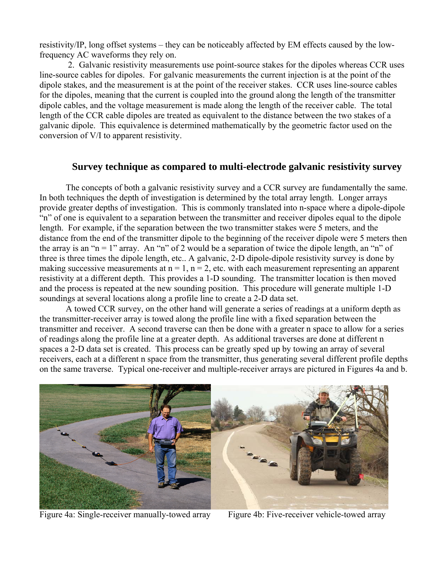resistivity/IP, long offset systems – they can be noticeably affected by EM effects caused by the lowfrequency AC waveforms they rely on.

 2. Galvanic resistivity measurements use point-source stakes for the dipoles whereas CCR uses line-source cables for dipoles. For galvanic measurements the current injection is at the point of the dipole stakes, and the measurement is at the point of the receiver stakes. CCR uses line-source cables for the dipoles, meaning that the current is coupled into the ground along the length of the transmitter dipole cables, and the voltage measurement is made along the length of the receiver cable. The total length of the CCR cable dipoles are treated as equivalent to the distance between the two stakes of a galvanic dipole. This equivalence is determined mathematically by the geometric factor used on the conversion of V/I to apparent resistivity.

#### **Survey technique as compared to multi-electrode galvanic resistivity survey**

The concepts of both a galvanic resistivity survey and a CCR survey are fundamentally the same. In both techniques the depth of investigation is determined by the total array length. Longer arrays provide greater depths of investigation. This is commonly translated into n-space where a dipole-dipole "n" of one is equivalent to a separation between the transmitter and receiver dipoles equal to the dipole length. For example, if the separation between the two transmitter stakes were 5 meters, and the distance from the end of the transmitter dipole to the beginning of the receiver dipole were 5 meters then the array is an "n = 1" array. An "n" of 2 would be a separation of twice the dipole length, an "n" of three is three times the dipole length, etc.. A galvanic, 2-D dipole-dipole resistivity survey is done by making successive measurements at  $n = 1$ ,  $n = 2$ , etc. with each measurement representing an apparent resistivity at a different depth. This provides a 1-D sounding. The transmitter location is then moved and the process is repeated at the new sounding position. This procedure will generate multiple 1-D soundings at several locations along a profile line to create a 2-D data set.

A towed CCR survey, on the other hand will generate a series of readings at a uniform depth as the transmitter-receiver array is towed along the profile line with a fixed separation between the transmitter and receiver. A second traverse can then be done with a greater n space to allow for a series of readings along the profile line at a greater depth. As additional traverses are done at different n spaces a 2-D data set is created. This process can be greatly sped up by towing an array of several receivers, each at a different n space from the transmitter, thus generating several different profile depths on the same traverse. Typical one-receiver and multiple-receiver arrays are pictured in Figures 4a and b.



Figure 4a: Single-receiver manually-towed array Figure 4b: Five-receiver vehicle-towed array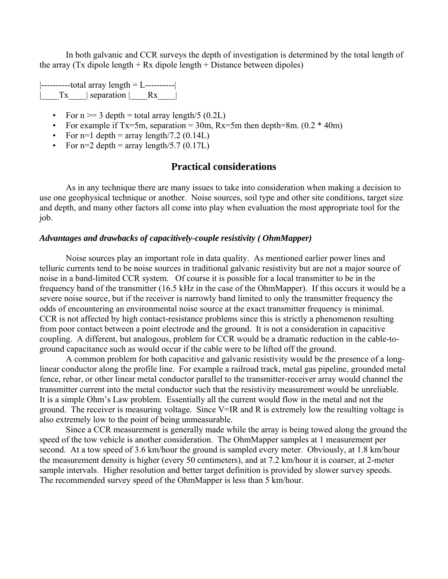In both galvanic and CCR surveys the depth of investigation is determined by the total length of the array (Tx dipole length + Rx dipole length + Distance between dipoles)

 $\left| \frac{\text{---}}{\text{---}}\right|$  $|\quad Tx \quad|$  separation  $|\quad Rx \quad|$ 

- For  $n \ge 3$  depth = total array length/5 (0.2L)
- For example if Tx=5m, separation = 30m, Rx=5m then depth=8m.  $(0.2 * 40m)$
- For n=1 depth = array length/7.2  $(0.14L)$
- For  $n=2$  depth = array length/5.7 (0.17L)

### **Practical considerations**

As in any technique there are many issues to take into consideration when making a decision to use one geophysical technique or another. Noise sources, soil type and other site conditions, target size and depth, and many other factors all come into play when evaluation the most appropriate tool for the job.

#### *Advantages and drawbacks of capacitively-couple resistivity ( OhmMapper)*

Noise sources play an important role in data quality. As mentioned earlier power lines and telluric currents tend to be noise sources in traditional galvanic resistivity but are not a major source of noise in a band-limited CCR system. Of course it is possible for a local transmitter to be in the frequency band of the transmitter (16.5 kHz in the case of the OhmMapper). If this occurs it would be a severe noise source, but if the receiver is narrowly band limited to only the transmitter frequency the odds of encountering an environmental noise source at the exact transmitter frequency is minimal. CCR is not affected by high contact-resistance problems since this is strictly a phenomenon resulting from poor contact between a point electrode and the ground. It is not a consideration in capacitive coupling. A different, but analogous, problem for CCR would be a dramatic reduction in the cable-toground capacitance such as would occur if the cable were to be lifted off the ground.

A common problem for both capacitive and galvanic resistivity would be the presence of a longlinear conductor along the profile line. For example a railroad track, metal gas pipeline, grounded metal fence, rebar, or other linear metal conductor parallel to the transmitter-receiver array would channel the transmitter current into the metal conductor such that the resistivity measurement would be unreliable. It is a simple Ohm's Law problem. Essentially all the current would flow in the metal and not the ground. The receiver is measuring voltage. Since V=IR and R is extremely low the resulting voltage is also extremely low to the point of being unmeasurable.

Since a CCR measurement is generally made while the array is being towed along the ground the speed of the tow vehicle is another consideration. The OhmMapper samples at 1 measurement per second. At a tow speed of 3.6 km/hour the ground is sampled every meter. Obviously, at 1.8 km/hour the measurement density is higher (every 50 centimeters), and at 7.2 km/hour it is coarser, at 2-meter sample intervals. Higher resolution and better target definition is provided by slower survey speeds. The recommended survey speed of the OhmMapper is less than 5 km/hour.